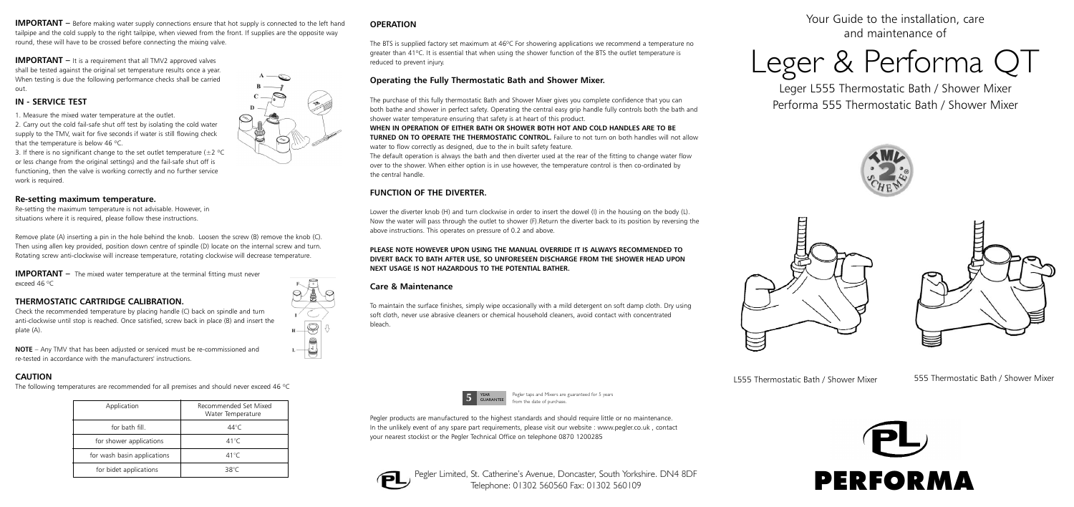Your Guide to the installation, care and maintenance of

# Leger & Performa QT

Leger L555 Thermostatic Bath / Shower Mixer Performa 555 Thermostatic Bath / Shower Mixer





L555 Thermostatic Bath / Shower Mixer 555 Thermostatic Bath / Shower Mixer

**IMPORTANT** – Before making water supply connections ensure that hot supply is connected to the left hand tailpipe and the cold supply to the right tailpipe, when viewed from the front. If supplies are the opposite way round, these will have to be crossed before connecting the mixing valve.

**IMPORTANT** – It is a requirement that all TMV2 approved valves shall be tested against the original set temperature results once a year. When testing is due the following performance checks shall be carried out.

# **IN - SERVICE TEST**

1. Measure the mixed water temperature at the outlet.

**IMPORTANT** – The mixed water temperature at the terminal fitting must never exceed 46 ºC

2. Carry out the cold fail-safe shut off test by isolating the cold water supply to the TMV, wait for five seconds if water is still flowing check that the temperature is below 46 ºC.

3. If there is no significant change to the set outlet temperature ( $\pm 2$  °C or less change from the original settings) and the fail-safe shut off is functioning, then the valve is working correctly and no further service work is required.

# **Re-setting maximum temperature.**

Re-setting the maximum temperature is not advisable. However, in situations where it is required, please follow these instructions.

The BTS is supplied factory set maximum at 46°C For showering applications we recommend a temperature no greater than 41ºC. It is essential that when using the shower function of the BTS the outlet temperature is reduced to prevent injury.

Remove plate (A) inserting a pin in the hole behind the knob. Loosen the screw (B) remove the knob (C). Then using allen key provided, position down centre of spindle (D) locate on the internal screw and turn. Rotating screw anti-clockwise will increase temperature, rotating clockwise will decrease temperature.

# **THERMOSTATIC CARTRIDGE CALIBRATION.**

Check the recommended temperature by placing handle (C) back on spindle and turn anti-clockwise until stop is reached. Once satisfied, screw back in place (B) and insert the plate (A).



**NOTE** – Any TMV that has been adjusted or serviced must be re-commissioned and re-tested in accordance with the manufacturers' instructions.

# **CAUTION**

The following temperatures are recommended for all premises and should never exceed 46 ºC

| Application                 | Recommended Set Mixed<br>Water Temperature |
|-----------------------------|--------------------------------------------|
| for bath fill.              | 44°C                                       |
| for shower applications     | 41°C                                       |
| for wash basin applications | 41°C                                       |
| for bidet applications      | 38°C                                       |

# **OPERATION**

# **Operating the Fully Thermostatic Bath and Shower Mixer.**

The purchase of this fully thermostatic Bath and Shower Mixer gives you complete confidence that you can both bathe and shower in perfect safety. Operating the central easy grip handle fully controls both the bath and shower water temperature ensuring that safety is at heart of this product.

**WHEN IN OPERATION OF EITHER BATH OR SHOWER BOTH HOT AND COLD HANDLES ARE TO BE TURNED ON TO OPERATE THE THERMOSTATIC CONTROL.** Failure to not turn on both handles will not allow water to flow correctly as designed, due to the in built safety feature.

The default operation is always the bath and then diverter used at the rear of the fitting to change water flow over to the shower. When either option is in use however, the temperature control is then co-ordinated by the central handle.

# **FUNCTION OF THE DIVERTER.**

Lower the diverter knob (H) and turn clockwise in order to insert the dowel (I) in the housing on the body (L). Now the water will pass through the outlet to shower (F).Return the diverter back to its position by reversing the above instructions. This operates on pressure of 0.2 and above.

# **PLEASE NOTE HOWEVER UPON USING THE MANUAL OVERRIDE IT IS ALWAYS RECOMMENDED TO DIVERT BACK TO BATH AFTER USE, SO UNFORESEEN DISCHARGE FROM THE SHOWER HEAD UPON NEXT USAGE IS NOT HAZARDOUS TO THE POTENTIAL BATHER.**

# **Care & Maintenance**

To maintain the surface finishes, simply wipe occasionally with a mild detergent on soft damp cloth. Dry using soft cloth, never use abrasive cleaners or chemical household cleaners, avoid contact with concentrated bleach.

Pegler products are manufactured to the highest standards and should require little or no maintenance. In the unlikely event of any spare part requirements, please visit our website : www.pegler.co.uk , contact your nearest stockist or the Pegler Technical Office on telephone 0870 1200285



Pegler Limited, St. Catherine's Avenue, Doncaster, South Yorkshire. DN4 8DF Telephone: 01302 560560 Fax: 01302 560109





Pegler taps and Mixers are guaranteed for 5 years from the date of purchase.